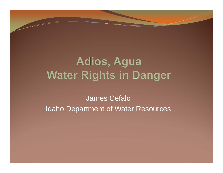# Adios, Agua **Water Rights in Danger**

James CefaloIdaho Department of Water Resources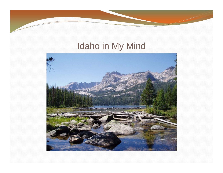# Idaho in My Mind

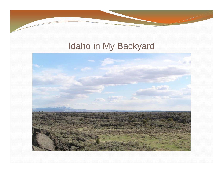## Idaho in My Backyard

 $\overline{\phantom{a}}$ 

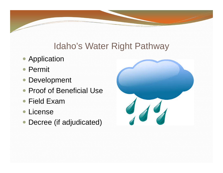### Idaho's Water Right Pathway

- Application
- Permit
- Development
- Proof of Beneficial Use
- Field Exam
- License
- Decree (if adjudicated)

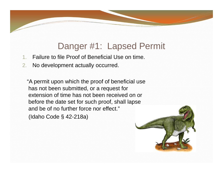### Danger #1: Lapsed Permit

- 1.Failure to file Proof of Beneficial Use on time.
- 2.No development actually occurred.

"A permit upon which the proof of beneficial use has not been submitted, or a request for extension of time has not been received on or before the date set for such proof, shall lapse and be of no further force nor effect." (Idaho Code § 42-218a)

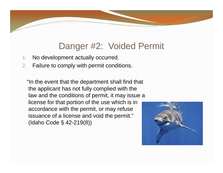### Danger #2: Voided Permit

- 1.No development actually occurred.
- 2.Failure to comply with permit conditions.

"In the event that the department shall find that the applicant has not fully complied with the law and the conditions of permit, it may issue a license for that portion of the use which is in accordance with the permit, or may refuse issuance of a license and void the permit." (Idaho Code § 42-219(8))

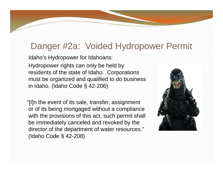#### Danger #2a: Voided Hydropower Permit

Idaho's Hydropower for Idahoans:

Hydropower rights can only be held by residents of the state of Idaho. Corporations must be organized and qualified to do business in Idaho. (Idaho Code § 42-206)

"[I]n the event of its sale, transfer, assignment or of its being mortgaged without a compliance with the provisions of this act, such permit shall be immediately canceled and revoked by the director of the department of water resources." (Idaho Code § 42-208)

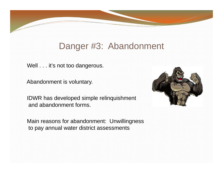#### Danger #3: Abandonment

Well . . . it's not too dangerous.

Abandonment is voluntary.

IDWR has developed simple relinquishment and abandonment forms.

Main reasons for abandonment: Unwillingness to pay annual water district assessments

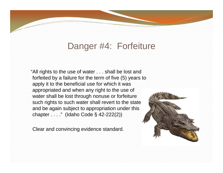#### Danger #4: Forfeiture

"All rights to the use of water . . . shall be lost and forfeited by a failure for the term of five (5) years to apply it to the beneficial use for which it was appropriated and when any right to the use of water shall be lost through nonuse or forfeiture such rights to such water shall revert to the state and be again subject to appropriation under this chapter . . . ." (Idaho Code § 42-222(2))

Clear and convincing evidence standard.

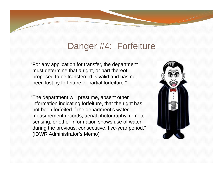#### Danger #4: Forfeiture

"For any application for transfer, the department must determine that a right, or part thereof, proposed to be transferred is valid and has not been lost by forfeiture or partial forfeiture."

"The department will presume, absent other information indicating forfeiture, that the right has not been forfeited if the department's water measurement records, aerial photography, remote sensing, or other information shows use of water during the previous, consecutive, five-year period." (IDWR Administrator's Memo)

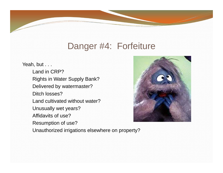#### Danger #4: Forfeiture

Yeah, but . . .

Land in CRP?Rights in Water Supply Bank? Delivered by watermaster? Ditch losses?Land cultivated without water?Unusually wet years? Affidavits of use?Resumption of use?

Unauthorized irrigations elsewhere on property?